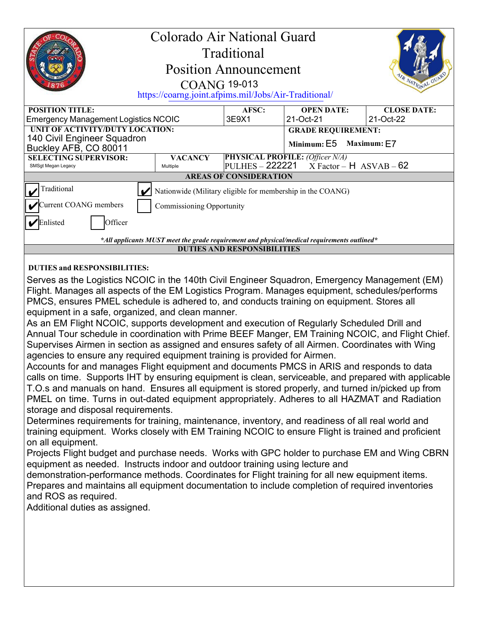| Colorado Air National Guard<br>Traditional<br><b>Position Announcement</b><br>R NATIONAL GUI<br><b>COANG 19-013</b><br>https://coarng.joint.afpims.mil/Jobs/Air-Traditional/                                                                                                                                                                                                                                                                                                                                                                                                                                                                                                                                                                                                                                                                                                                                                                                                                                                                                                                                                                                                                                                                                                                                                                                                                                                                                                                                                                                                                                                                                                                                                                                               |                |       |                                        |                    |
|----------------------------------------------------------------------------------------------------------------------------------------------------------------------------------------------------------------------------------------------------------------------------------------------------------------------------------------------------------------------------------------------------------------------------------------------------------------------------------------------------------------------------------------------------------------------------------------------------------------------------------------------------------------------------------------------------------------------------------------------------------------------------------------------------------------------------------------------------------------------------------------------------------------------------------------------------------------------------------------------------------------------------------------------------------------------------------------------------------------------------------------------------------------------------------------------------------------------------------------------------------------------------------------------------------------------------------------------------------------------------------------------------------------------------------------------------------------------------------------------------------------------------------------------------------------------------------------------------------------------------------------------------------------------------------------------------------------------------------------------------------------------------|----------------|-------|----------------------------------------|--------------------|
| <b>POSITION TITLE:</b>                                                                                                                                                                                                                                                                                                                                                                                                                                                                                                                                                                                                                                                                                                                                                                                                                                                                                                                                                                                                                                                                                                                                                                                                                                                                                                                                                                                                                                                                                                                                                                                                                                                                                                                                                     |                | AFSC: | <b>OPEN DATE:</b>                      | <b>CLOSE DATE:</b> |
| <b>Emergency Management Logistics NCOIC</b><br>UNIT OF ACTIVITY/DUTY LOCATION:                                                                                                                                                                                                                                                                                                                                                                                                                                                                                                                                                                                                                                                                                                                                                                                                                                                                                                                                                                                                                                                                                                                                                                                                                                                                                                                                                                                                                                                                                                                                                                                                                                                                                             |                | 3E9X1 | 21-Oct-21                              | 21-Oct-22          |
| 140 Civil Engineer Squadron                                                                                                                                                                                                                                                                                                                                                                                                                                                                                                                                                                                                                                                                                                                                                                                                                                                                                                                                                                                                                                                                                                                                                                                                                                                                                                                                                                                                                                                                                                                                                                                                                                                                                                                                                |                |       | <b>GRADE REQUIREMENT:</b>              |                    |
| Buckley AFB, CO 80011                                                                                                                                                                                                                                                                                                                                                                                                                                                                                                                                                                                                                                                                                                                                                                                                                                                                                                                                                                                                                                                                                                                                                                                                                                                                                                                                                                                                                                                                                                                                                                                                                                                                                                                                                      |                |       | Minimum: E5                            | Maximum: E7        |
| <b>SELECTING SUPERVISOR:</b><br>SMSgt Megan Legacy                                                                                                                                                                                                                                                                                                                                                                                                                                                                                                                                                                                                                                                                                                                                                                                                                                                                                                                                                                                                                                                                                                                                                                                                                                                                                                                                                                                                                                                                                                                                                                                                                                                                                                                         | <b>VACANCY</b> |       | <b>PHYSICAL PROFILE: (Officer N/A)</b> |                    |
| <b>PULHES - 222221</b><br>$X Factor - H$ ASVAB - 62<br>Multiple<br><b>AREAS OF CONSIDERATION</b>                                                                                                                                                                                                                                                                                                                                                                                                                                                                                                                                                                                                                                                                                                                                                                                                                                                                                                                                                                                                                                                                                                                                                                                                                                                                                                                                                                                                                                                                                                                                                                                                                                                                           |                |       |                                        |                    |
| Traditional                                                                                                                                                                                                                                                                                                                                                                                                                                                                                                                                                                                                                                                                                                                                                                                                                                                                                                                                                                                                                                                                                                                                                                                                                                                                                                                                                                                                                                                                                                                                                                                                                                                                                                                                                                |                |       |                                        |                    |
| Nationwide (Military eligible for membership in the COANG)                                                                                                                                                                                                                                                                                                                                                                                                                                                                                                                                                                                                                                                                                                                                                                                                                                                                                                                                                                                                                                                                                                                                                                                                                                                                                                                                                                                                                                                                                                                                                                                                                                                                                                                 |                |       |                                        |                    |
| Current COANG members<br><b>Commissioning Opportunity</b>                                                                                                                                                                                                                                                                                                                                                                                                                                                                                                                                                                                                                                                                                                                                                                                                                                                                                                                                                                                                                                                                                                                                                                                                                                                                                                                                                                                                                                                                                                                                                                                                                                                                                                                  |                |       |                                        |                    |
| $\nu$ Enlisted<br>Officer                                                                                                                                                                                                                                                                                                                                                                                                                                                                                                                                                                                                                                                                                                                                                                                                                                                                                                                                                                                                                                                                                                                                                                                                                                                                                                                                                                                                                                                                                                                                                                                                                                                                                                                                                  |                |       |                                        |                    |
| *All applicants MUST meet the grade requirement and physical/medical requirements outlined*                                                                                                                                                                                                                                                                                                                                                                                                                                                                                                                                                                                                                                                                                                                                                                                                                                                                                                                                                                                                                                                                                                                                                                                                                                                                                                                                                                                                                                                                                                                                                                                                                                                                                |                |       |                                        |                    |
| <b>DUTIES AND RESPONSIBILITIES</b>                                                                                                                                                                                                                                                                                                                                                                                                                                                                                                                                                                                                                                                                                                                                                                                                                                                                                                                                                                                                                                                                                                                                                                                                                                                                                                                                                                                                                                                                                                                                                                                                                                                                                                                                         |                |       |                                        |                    |
| <b>DUTIES and RESPONSIBILITIES:</b>                                                                                                                                                                                                                                                                                                                                                                                                                                                                                                                                                                                                                                                                                                                                                                                                                                                                                                                                                                                                                                                                                                                                                                                                                                                                                                                                                                                                                                                                                                                                                                                                                                                                                                                                        |                |       |                                        |                    |
| Flight. Manages all aspects of the EM Logistics Program. Manages equipment, schedules/performs<br>PMCS, ensures PMEL schedule is adhered to, and conducts training on equipment. Stores all<br>equipment in a safe, organized, and clean manner.<br>As an EM Flight NCOIC, supports development and execution of Regularly Scheduled Drill and<br>Annual Tour schedule in coordination with Prime BEEF Manger, EM Training NCOIC, and Flight Chief.<br>Supervises Airmen in section as assigned and ensures safety of all Airmen. Coordinates with Wing<br>agencies to ensure any required equipment training is provided for Airmen.<br>Accounts for and manages Flight equipment and documents PMCS in ARIS and responds to data<br>calls on time. Supports IHT by ensuring equipment is clean, serviceable, and prepared with applicable<br>T.O.s and manuals on hand. Ensures all equipment is stored properly, and turned in/picked up from<br>PMEL on time. Turns in out-dated equipment appropriately. Adheres to all HAZMAT and Radiation<br>storage and disposal requirements.<br>Determines requirements for training, maintenance, inventory, and readiness of all real world and<br>training equipment. Works closely with EM Training NCOIC to ensure Flight is trained and proficient<br>on all equipment.<br>Projects Flight budget and purchase needs. Works with GPC holder to purchase EM and Wing CBRN<br>equipment as needed. Instructs indoor and outdoor training using lecture and<br>demonstration-performance methods. Coordinates for Flight training for all new equipment items.<br>Prepares and maintains all equipment documentation to include completion of required inventories<br>and ROS as required.<br>Additional duties as assigned. |                |       |                                        |                    |
|                                                                                                                                                                                                                                                                                                                                                                                                                                                                                                                                                                                                                                                                                                                                                                                                                                                                                                                                                                                                                                                                                                                                                                                                                                                                                                                                                                                                                                                                                                                                                                                                                                                                                                                                                                            |                |       |                                        |                    |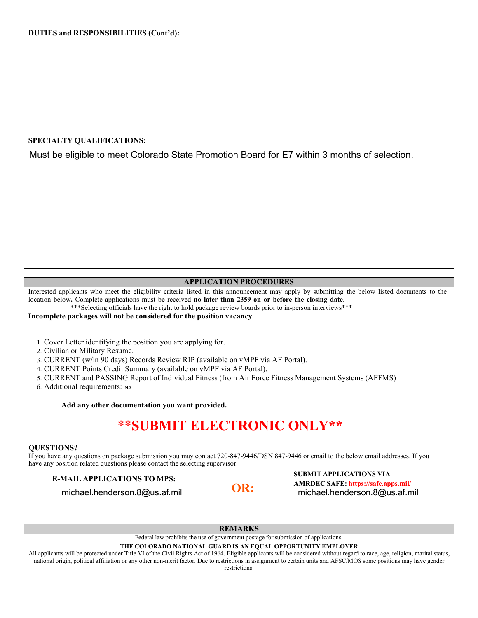## **SPECIALTY QUALIFICATIONS:**

Must be eligible to meet Colorado State Promotion Board for E7 within 3 months of selection.

## **APPLICATION PROCEDURES**

Interested applicants who meet the eligibility criteria listed in this announcement may apply by submitting the below listed documents to the location below**.** Complete applications must be received **no later than 2359 on or before the closing date**.

\*\*\*Selecting officials have the right to hold package review boards prior to in-person interviews\*\*\*

#### **Incomplete packages will not be considered for the position vacancy**

1. Cover Letter identifying the position you are applying for.

2. Civilian or Military Resume.

3. CURRENT (w/in 90 days) Records Review RIP (available on vMPF via AF Portal).

4. CURRENT Points Credit Summary (available on vMPF via AF Portal).

5. CURRENT and PASSING Report of Individual Fitness (from Air Force Fitness Management Systems (AFFMS)

6. Additional requirements: NA

**Add any other documentation you want provided.**

# \*\***SUBMIT ELECTRONIC ONLY\*\***

#### **QUESTIONS?**

If you have any questions on package submission you may contact 720-847-9446/DSN 847-9446 or email to the below email addresses. If you have any position related questions please contact the selecting supervisor.

## **SUBMIT APPLICATIONS TO MPS:**<br> **COR**<br> **COR**<br> **COR**<br> **COR**<br> **COR**<br> **COR**<br> **COR**<br> **COR**<br> **E-MAIL** APPLICATIONS VIA<br> **E-MAIL** APPLICATIONS VIA **OR: AMRDEC SAFE: https://safe.apps.mil/** michael.henderson.8@us.af.mil michael.henderson.8@us.af.mil

**REMARKS**

#### Federal law prohibits the use of government postage for submission of applications.

#### **THE COLORADO NATIONAL GUARD IS AN EQUAL OPPORTUNITY EMPLOYER**

All applicants will be protected under Title VI of the Civil Rights Act of 1964. Eligible applicants will be considered without regard to race, age, religion, marital status, national origin, political affiliation or any other non-merit factor. Due to restrictions in assignment to certain units and AFSC/MOS some positions may have gender restrictions.